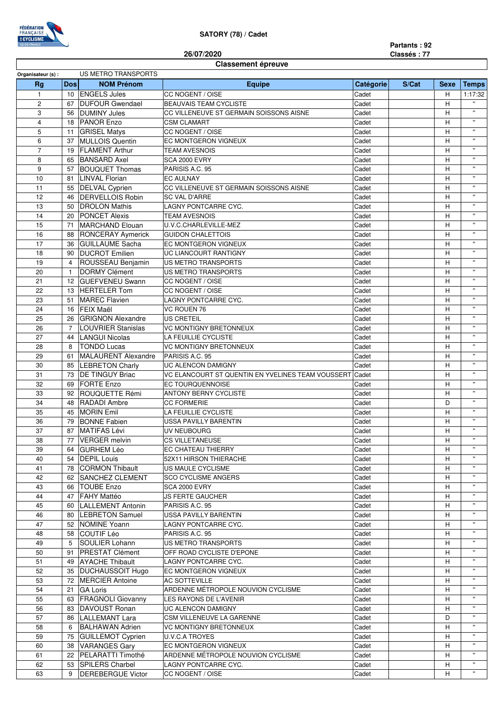

## **SATORY (78) / Cadet**

**Partants : 92 Classés : 77**

## **26/07/2020**

| <b>Classement épreuve</b> |  |
|---------------------------|--|
|---------------------------|--|

| US METRO TRANSPORTS<br>Organisateur (s) : |                |                          |                                                   |           |       |             |                                          |
|-------------------------------------------|----------------|--------------------------|---------------------------------------------------|-----------|-------|-------------|------------------------------------------|
| <b>Rg</b>                                 | <b>Dos</b>     | <b>NOM Prénom</b>        | Equipe                                            | Catégorie | S/Cat | <b>Sexe</b> | <b>Temps</b>                             |
| $\mathbf{1}$                              |                | 10 ENGELS Jules          | CC NOGENT / OISE                                  | Cadet     |       | н           | 1:17:32                                  |
| $\overline{2}$                            | 67             | <b>DUFOUR Gwendael</b>   | <b>BEAUVAIS TEAM CYCLISTE</b>                     | Cadet     |       | H           |                                          |
| 3                                         | 56             | <b>DUMINY Jules</b>      | CC VILLENEUVE ST GERMAIN SOISSONS AISNE           | Cadet     |       | H           | $\mathbf{H}$                             |
| $\overline{4}$                            |                | 18 PANOR Enzo            | <b>CSM CLAMART</b>                                | Cadet     |       | H           | $\mathbf{H}$                             |
| 5                                         | 11             | <b>GRISEL Matys</b>      | CC NOGENT / OISE                                  | Cadet     |       | H           | $\bar{\mathbf{u}}$                       |
| 6                                         | 37             | <b>MULLOIS Quentin</b>   | EC MONTGERON VIGNEUX                              | Cadet     |       | Н           | $\boldsymbol{\mathsf{H}}$                |
| $\overline{7}$                            | 19             | <b>FLAMENT Arthur</b>    | <b>TEAM AVESNOIS</b>                              | Cadet     |       | н           | $\pmb{\mathsf{u}}$                       |
| 8                                         | 65             | <b>BANSARD Axel</b>      | <b>SCA 2000 EVRY</b>                              | Cadet     |       | н           | $\mathbf{H}$                             |
| 9                                         | 57             | <b>BOUQUET Thomas</b>    | PARISIS A.C. 95                                   | Cadet     |       | H           | $\boldsymbol{\mathsf{H}}$                |
| 10                                        | 81             | <b>LINVAL Florian</b>    | <b>EC AULNAY</b>                                  | Cadet     |       | H           | $\mathbf{H}$                             |
| 11                                        | 55             | <b>DELVAL Cyprien</b>    | CC VILLENEUVE ST GERMAIN SOISSONS AISNE           | Cadet     |       | H           | $\pmb{\mathsf{u}}$                       |
| 12                                        | 46             | <b>DERVELLOIS Robin</b>  | <b>SC VAL D'ARRE</b>                              | Cadet     |       | Н           | $\pmb{\mathsf{u}}$                       |
| 13                                        | 50             | <b>DROLON Mathis</b>     | LAGNY PONTCARRE CYC.                              | Cadet     |       | Н           | $\mathbf{H}$                             |
| 14                                        |                | <b>PONCET Alexis</b>     |                                                   |           |       |             | $\boldsymbol{\mathsf{H}}$                |
| 15                                        | 20             |                          | <b>TEAM AVESNOIS</b>                              | Cadet     |       | Н<br>H      | $\pmb{\mathsf{H}}$                       |
| 16                                        | 71             | <b>MARCHAND Elouan</b>   | U.V.C.CHARLEVILLE-MEZ<br><b>GUIDON CHALETTOIS</b> | Cadet     |       |             | $\mathbf{H}$                             |
|                                           | 88             | RONCERAY Aymerick        |                                                   | Cadet     |       | H           | $\boldsymbol{\mathsf{H}}$                |
| 17                                        | 36             | <b>GUILLAUME Sacha</b>   | EC MONTGERON VIGNEUX                              | Cadet     |       | H           | $\pmb{\mathsf{u}}$                       |
| 18                                        | 90             | <b>DUCROT Emilien</b>    | UC LIANCOURT RANTIGNY                             | Cadet     |       | Н           | $\mathbf{H}$                             |
| 19                                        | $\overline{4}$ | ROUSSEAU Benjamin        | <b>US METRO TRANSPORTS</b>                        | Cadet     |       | н           |                                          |
| 20                                        | $\overline{1}$ | DORMY Clément            | <b>US METRO TRANSPORTS</b>                        | Cadet     |       | H           | $\pmb{\mathsf{u}}$                       |
| 21                                        |                | 12 GUEFVENEU Swann       | CC NOGENT / OISE                                  | Cadet     |       | H           | $\pmb{\mathsf{u}}$                       |
| 22                                        | 13             | <b>HERTELER Tom</b>      | CC NOGENT / OISE                                  | Cadet     |       | H           | $\mathbf{H}$                             |
| 23                                        | 51             | <b>MAREC Flavien</b>     | LAGNY PONTCARRE CYC.                              | Cadet     |       | H           | $\boldsymbol{\mathsf{H}}$                |
| 24                                        | 16             | <b>FEIX Maël</b>         | <b>VC ROUEN 76</b>                                | Cadet     |       | H           | $\boldsymbol{\mathsf{H}}$                |
| 25                                        | 26             | <b>GRIGNON Alexandre</b> | <b>US CRETEIL</b>                                 | Cadet     |       | Н           | $\boldsymbol{\mathsf{H}}$                |
| 26                                        | $\overline{7}$ | LOUVRIER Stanislas       | <b>VC MONTIGNY BRETONNEUX</b>                     | Cadet     |       | н           | $\pmb{\mathsf{u}}$                       |
| 27                                        | 44             | <b>LANGUI Nicolas</b>    | LA FEUILLIE CYCLISTE                              | Cadet     |       | H           | $\pmb{\mathsf{u}}$                       |
| 28                                        | 8              | <b>TONDO Lucas</b>       | VC MONTIGNY BRETONNEUX                            | Cadet     |       | H           | $\mathbf{H}$                             |
| 29                                        | 61             | MALAURENT Alexandre      | PARISIS A.C. 95                                   | Cadet     |       | H           | $\pmb{\mathsf{H}}$                       |
| 30                                        | 85             | <b>LEBRETON Charly</b>   | <b>UC ALENCON DAMIGNY</b>                         | Cadet     |       | H           | $\pmb{\mathsf{u}}$                       |
| 31                                        | 73             | <b>DE TINGUY Briac</b>   | VC ELANCOURT ST QUENTIN EN YVELINES TEAM VOUSSERT | Cadet     |       | Н           | $\boldsymbol{\mathsf{H}}$                |
| 32                                        | 69             | FORTE Enzo               | <b>EC TOURQUENNOISE</b>                           | Cadet     |       | Н           | $\mathbf{H}$                             |
| 33                                        | 92             | <b>ROUQUETTE Rémi</b>    | <b>ANTONY BERNY CYCLISTE</b>                      | Cadet     |       | Н           | $\mathbf{H}$                             |
| 34                                        | 48             | RADADI Ambre             | <b>CC FORMERIE</b>                                | Cadet     |       | D           | $\pmb{\mathsf{u}}$                       |
| 35                                        | 45             | <b>MORIN Emil</b>        | LA FEUILLIE CYCLISTE                              | Cadet     |       | H           | $\mathbf{H}$                             |
| 36                                        | 79             | <b>BONNE Fabien</b>      | USSA PAVILLY BARENTIN                             | Cadet     |       | H           | $\mathbf{H}$                             |
| 37                                        | 87             | MATIFAS Lévi             | UV NEUBOURG                                       | Cadet     |       | Н           | $\pmb{\mathsf{u}}$                       |
| 38                                        |                | 77 VERGER melvin         | <b>CS VILLETANEUSE</b>                            | Cadet     |       | H           | $\pmb{\mathsf{u}}$                       |
| 39                                        |                | 64   GURHEM Léo          | EC CHATEAU THIERRY                                | Cadet     |       | H           |                                          |
| 40                                        | 54             | <b>DEPIL Louis</b>       | 52X11 HIRSON THIERACHE                            | Cadet     |       | H           |                                          |
| 41                                        | 78             | <b>CORMON Thibault</b>   | <b>US MAULE CYCLISME</b>                          | Cadet     |       | H           | $\mathbf{H}$                             |
| 42                                        |                |                          |                                                   |           |       | H           | $\mathbf{H}$                             |
|                                           | 62             | <b>SANCHEZ CLEMENT</b>   | <b>SCO CYCLISME ANGERS</b>                        | Cadet     |       |             | $\mathbf{H}$                             |
| 43                                        | 66             | <b>TOUBE Enzo</b>        | <b>SCA 2000 EVRY</b>                              | Cadet     |       | Н           | $\mathbf{H}$                             |
| 44                                        | 47             | <b>FAHY Mattéo</b>       | <b>JS FERTE GAUCHER</b>                           | Cadet     |       | н           | $\mathbf{H}$                             |
| 45                                        | 60             | LALLEMENT Antonin        | PARISIS A.C. 95                                   | Cadet     |       | н           | $\mathbf{H}$                             |
| 46                                        | 80             | <b>LEBRETON Samuel</b>   | USSA PAVILLY BARENTIN                             | Cadet     |       | Н           | $\mathbf{H}$                             |
| 47                                        |                | 52 NOMINE Yoann          | LAGNY PONTCARRE CYC.                              | Cadet     |       | н           |                                          |
| 48                                        | 58             | COUTIF Léo               | PARISIS A.C. 95                                   | Cadet     |       | н           | $\pmb{\mathsf{H}}$<br>$\pmb{\mathsf{u}}$ |
| 49                                        | 5              | <b>SOULIER Lohann</b>    | <b>US METRO TRANSPORTS</b>                        | Cadet     |       | Н           |                                          |
| 50                                        | 91             | <b>PRESTAT Clément</b>   | OFF ROAD CYCLISTE D'EPONE                         | Cadet     |       | н           | $\pmb{\mathsf{u}}$                       |
| 51                                        | 49             | <b>AYACHE Thibault</b>   | LAGNY PONTCARRE CYC.                              | Cadet     |       | н           | $\pmb{\mathsf{H}}$                       |
| 52                                        | 35             | <b>DUCHAUSSOIT Hugo</b>  | EC MONTGERON VIGNEUX                              | Cadet     |       | н           | $\mathbf{H}$                             |
| 53                                        | 72             | <b>MERCIER Antoine</b>   | AC SOTTEVILLE                                     | Cadet     |       | H           | $\mathbf{H}$                             |
| 54                                        | 21             | <b>GA Loris</b>          | ARDENNE MÉTROPOLE NOUVION CYCLISME                | Cadet     |       | Н           | $\mathbf{H}$                             |
| 55                                        | 63             | <b>FRAGNOLI Giovanny</b> | LES RAYONS DE L'AVENIR                            | Cadet     |       | н           | $\mathbf{H}$                             |
| 56                                        | 83             | DAVOUST Ronan            | UC ALENCON DAMIGNY                                | Cadet     |       | Н           | $\pmb{\mathsf{u}}$                       |
| 57                                        | 86             | <b>LALLEMANT Lara</b>    | CSM VILLENEUVE LA GARENNE                         | Cadet     |       | D           | $\mathbf{H}$                             |
| 58                                        | 6              | <b>BALHAWAN Adrien</b>   | VC MONTIGNY BRETONNEUX                            | Cadet     |       | н           | $\mathbf{H}$                             |
| 59                                        | 75             | <b>GUILLEMOT Cyprien</b> | <b>U.V.C.A TROYES</b>                             | Cadet     |       | н           | $\pmb{\mathsf{u}}$                       |
| 60                                        | 38             | <b>VARANGES Gary</b>     | EC MONTGERON VIGNEUX                              | Cadet     |       | Н           | $\mathbf{H}$                             |
| 61                                        | 22             | PELARATTI Timothé        | ARDENNE MÉTROPOLE NOUVION CYCLISME                | Cadet     |       | H           | $\mathbf{H}$                             |
| 62                                        | 53             | <b>SPILERS Charbel</b>   | LAGNY PONTCARRE CYC.                              | Cadet     |       | H           | $\mathbf{H}$                             |
| 63                                        | 9              | <b>DEREBERGUE Victor</b> | CC NOGENT / OISE                                  | Cadet     |       | H           | $\mathbf{H}$                             |